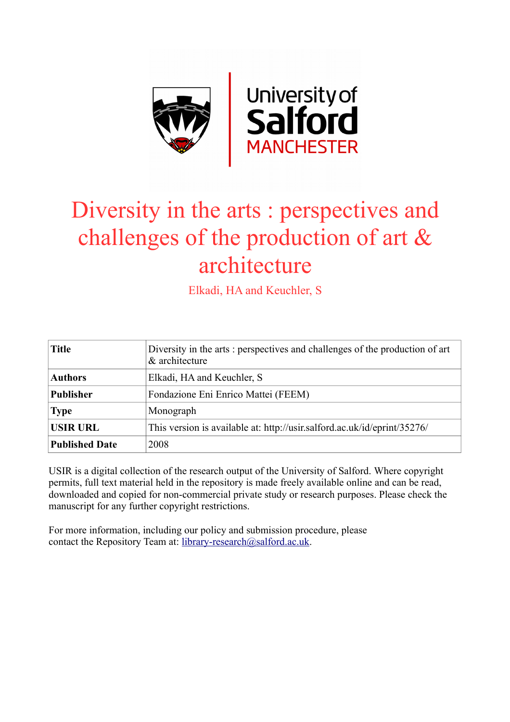

# Diversity in the arts : perspectives and challenges of the production of art & architecture

Elkadi, HA and Keuchler, S

| <b>Title</b>          | Diversity in the arts: perspectives and challenges of the production of art<br>& architecture |
|-----------------------|-----------------------------------------------------------------------------------------------|
| <b>Authors</b>        | Elkadi, HA and Keuchler, S.                                                                   |
| <b>Publisher</b>      | Fondazione Eni Enrico Mattei (FEEM)                                                           |
| <b>Type</b>           | Monograph                                                                                     |
| <b>USIR URL</b>       | This version is available at: http://usir.salford.ac.uk/id/eprint/35276/                      |
| <b>Published Date</b> | 2008                                                                                          |

USIR is a digital collection of the research output of the University of Salford. Where copyright permits, full text material held in the repository is made freely available online and can be read, downloaded and copied for non-commercial private study or research purposes. Please check the manuscript for any further copyright restrictions.

For more information, including our policy and submission procedure, please contact the Repository Team at: [library-research@salford.ac.uk.](mailto:library-research@salford.ac.uk)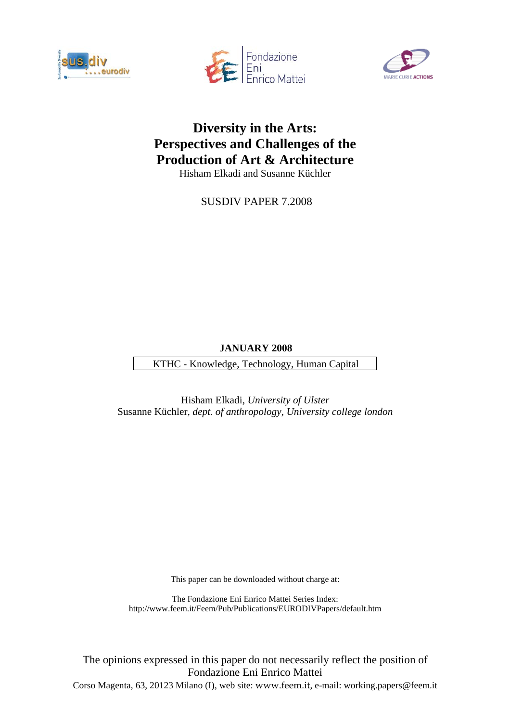





## **Diversity in the Arts: Perspectives and Challenges of the Production of Art & Architecture**

Hisham Elkadi and Susanne Küchler

SUSDIV PAPER 7.2008

## **JANUARY 2008**

KTHC - Knowledge, Technology, Human Capital

Hisham Elkadi, *University of Ulster*  Susanne Küchler, *dept. of anthropology, University college london* 

This paper can be downloaded without charge at:

The Fondazione Eni Enrico Mattei Series Index: http://www.feem.it/Feem/Pub/Publications/EURODIVPapers/default.htm

The opinions expressed in this paper do not necessarily reflect the position of Fondazione Eni Enrico Mattei Corso Magenta, 63, 20123 Milano (I), web site: www.feem.it, e-mail: working.papers@feem.it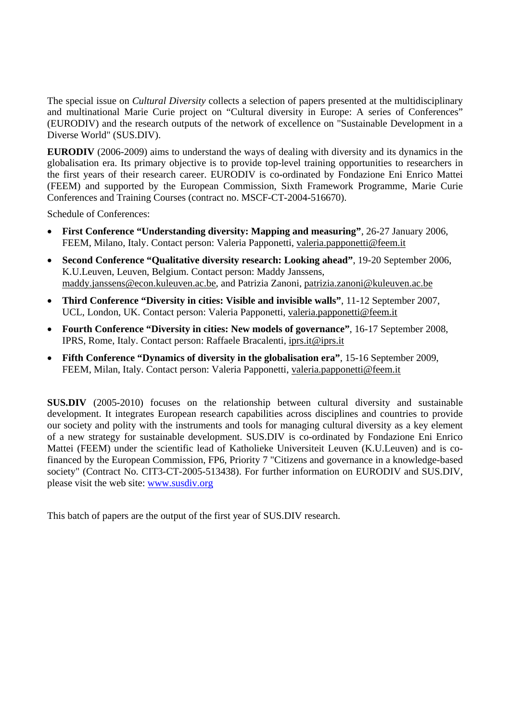The special issue on *Cultural Diversity* collects a selection of papers presented at the multidisciplinary and multinational Marie Curie project on "Cultural diversity in Europe: A series of Conferences" (EURODIV) and the research outputs of the network of excellence on "Sustainable Development in a Diverse World" (SUS.DIV).

**EURODIV** (2006-2009) aims to understand the ways of dealing with diversity and its dynamics in the globalisation era. Its primary objective is to provide top-level training opportunities to researchers in the first years of their research career. EURODIV is co-ordinated by Fondazione Eni Enrico Mattei (FEEM) and supported by the European Commission, Sixth Framework Programme, Marie Curie Conferences and Training Courses (contract no. MSCF-CT-2004-516670).

Schedule of Conferences:

- **First Conference "Understanding diversity: Mapping and measuring"**, 26-27 January 2006, FEEM, Milano, Italy. Contact person: Valeria Papponetti, valeria.papponetti@feem.it
- **Second Conference "Qualitative diversity research: Looking ahead"**, 19-20 September 2006, K.U.Leuven, Leuven, Belgium. Contact person: Maddy Janssens, maddy.janssens@econ.kuleuven.ac.be, and Patrizia Zanoni, patrizia.zanoni@kuleuven.ac.be
- **Third Conference "Diversity in cities: Visible and invisible walls"**, 11-12 September 2007, UCL, London, UK. Contact person: Valeria Papponetti, valeria.papponetti@feem.it
- **Fourth Conference "Diversity in cities: New models of governance"**, 16-17 September 2008, IPRS, Rome, Italy. Contact person: Raffaele Bracalenti, iprs.it@iprs.it
- **Fifth Conference "Dynamics of diversity in the globalisation era"**, 15-16 September 2009, FEEM, Milan, Italy. Contact person: Valeria Papponetti, valeria.papponetti@feem.it

**SUS.DIV** (2005-2010) focuses on the relationship between cultural diversity and sustainable development. It integrates European research capabilities across disciplines and countries to provide our society and polity with the instruments and tools for managing cultural diversity as a key element of a new strategy for sustainable development. SUS.DIV is co-ordinated by Fondazione Eni Enrico Mattei (FEEM) under the scientific lead of Katholieke Universiteit Leuven (K.U.Leuven) and is cofinanced by the European Commission, FP6, Priority 7 "Citizens and governance in a knowledge-based society" (Contract No. CIT3-CT-2005-513438). For further information on EURODIV and SUS.DIV, please visit the web site: www.susdiv.org

This batch of papers are the output of the first year of SUS.DIV research.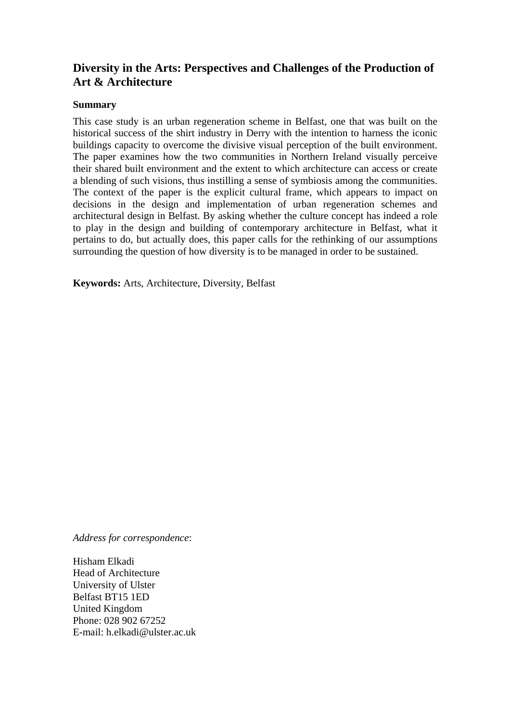## **Diversity in the Arts: Perspectives and Challenges of the Production of Art & Architecture**

## **Summary**

This case study is an urban regeneration scheme in Belfast, one that was built on the historical success of the shirt industry in Derry with the intention to harness the iconic buildings capacity to overcome the divisive visual perception of the built environment. The paper examines how the two communities in Northern Ireland visually perceive their shared built environment and the extent to which architecture can access or create a blending of such visions, thus instilling a sense of symbiosis among the communities. The context of the paper is the explicit cultural frame, which appears to impact on decisions in the design and implementation of urban regeneration schemes and architectural design in Belfast. By asking whether the culture concept has indeed a role to play in the design and building of contemporary architecture in Belfast, what it pertains to do, but actually does, this paper calls for the rethinking of our assumptions surrounding the question of how diversity is to be managed in order to be sustained.

**Keywords:** Arts, Architecture, Diversity, Belfast

*Address for correspondence*:

Hisham Elkadi Head of Architecture University of Ulster Belfast BT15 1ED United Kingdom Phone: 028 902 67252 E-mail: h.elkadi@ulster.ac.uk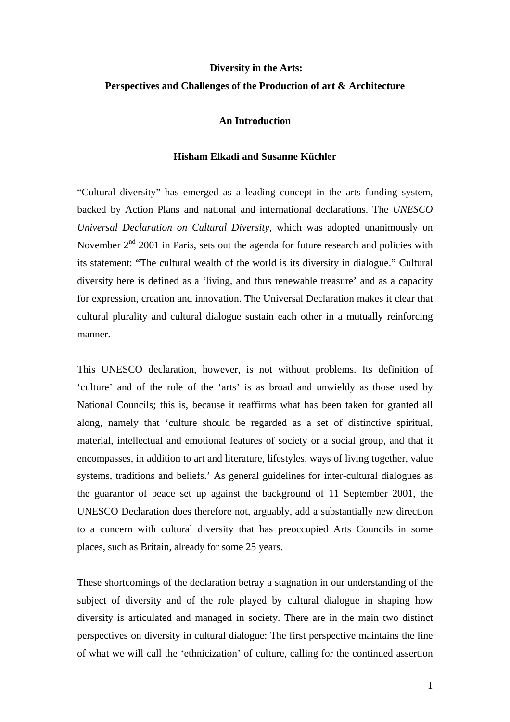## **Diversity in the Arts: Perspectives and Challenges of the Production of art & Architecture**

## **An Introduction**

#### **Hisham Elkadi and Susanne Küchler**

"Cultural diversity" has emerged as a leading concept in the arts funding system, backed by Action Plans and national and international declarations. The *UNESCO Universal Declaration on Cultural Diversity*, which was adopted unanimously on November  $2<sup>nd</sup>$  2001 in Paris, sets out the agenda for future research and policies with its statement: "The cultural wealth of the world is its diversity in dialogue." Cultural diversity here is defined as a 'living, and thus renewable treasure' and as a capacity for expression, creation and innovation. The Universal Declaration makes it clear that cultural plurality and cultural dialogue sustain each other in a mutually reinforcing manner.

This UNESCO declaration, however, is not without problems. Its definition of 'culture' and of the role of the 'arts' is as broad and unwieldy as those used by National Councils; this is, because it reaffirms what has been taken for granted all along, namely that 'culture should be regarded as a set of distinctive spiritual, material, intellectual and emotional features of society or a social group, and that it encompasses, in addition to art and literature, lifestyles, ways of living together, value systems, traditions and beliefs.' As general guidelines for inter-cultural dialogues as the guarantor of peace set up against the background of 11 September 2001, the UNESCO Declaration does therefore not, arguably, add a substantially new direction to a concern with cultural diversity that has preoccupied Arts Councils in some places, such as Britain, already for some 25 years.

These shortcomings of the declaration betray a stagnation in our understanding of the subject of diversity and of the role played by cultural dialogue in shaping how diversity is articulated and managed in society. There are in the main two distinct perspectives on diversity in cultural dialogue: The first perspective maintains the line of what we will call the 'ethnicization' of culture, calling for the continued assertion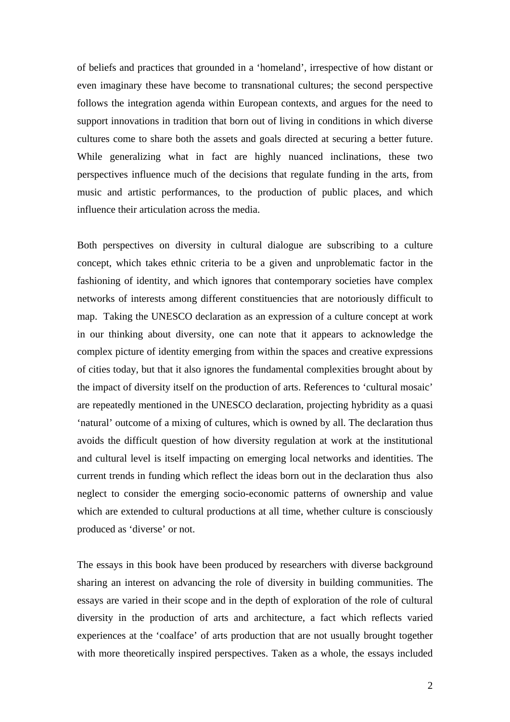of beliefs and practices that grounded in a 'homeland', irrespective of how distant or even imaginary these have become to transnational cultures; the second perspective follows the integration agenda within European contexts, and argues for the need to support innovations in tradition that born out of living in conditions in which diverse cultures come to share both the assets and goals directed at securing a better future. While generalizing what in fact are highly nuanced inclinations, these two perspectives influence much of the decisions that regulate funding in the arts, from music and artistic performances, to the production of public places, and which influence their articulation across the media.

Both perspectives on diversity in cultural dialogue are subscribing to a culture concept, which takes ethnic criteria to be a given and unproblematic factor in the fashioning of identity, and which ignores that contemporary societies have complex networks of interests among different constituencies that are notoriously difficult to map. Taking the UNESCO declaration as an expression of a culture concept at work in our thinking about diversity, one can note that it appears to acknowledge the complex picture of identity emerging from within the spaces and creative expressions of cities today, but that it also ignores the fundamental complexities brought about by the impact of diversity itself on the production of arts. References to 'cultural mosaic' are repeatedly mentioned in the UNESCO declaration, projecting hybridity as a quasi 'natural' outcome of a mixing of cultures, which is owned by all. The declaration thus avoids the difficult question of how diversity regulation at work at the institutional and cultural level is itself impacting on emerging local networks and identities. The current trends in funding which reflect the ideas born out in the declaration thus also neglect to consider the emerging socio-economic patterns of ownership and value which are extended to cultural productions at all time, whether culture is consciously produced as 'diverse' or not.

The essays in this book have been produced by researchers with diverse background sharing an interest on advancing the role of diversity in building communities. The essays are varied in their scope and in the depth of exploration of the role of cultural diversity in the production of arts and architecture, a fact which reflects varied experiences at the 'coalface' of arts production that are not usually brought together with more theoretically inspired perspectives. Taken as a whole, the essays included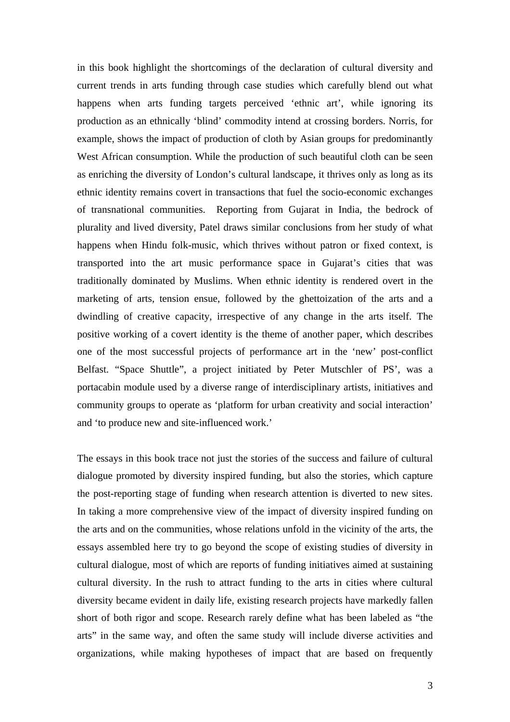in this book highlight the shortcomings of the declaration of cultural diversity and current trends in arts funding through case studies which carefully blend out what happens when arts funding targets perceived 'ethnic art', while ignoring its production as an ethnically 'blind' commodity intend at crossing borders. Norris, for example, shows the impact of production of cloth by Asian groups for predominantly West African consumption. While the production of such beautiful cloth can be seen as enriching the diversity of London's cultural landscape, it thrives only as long as its ethnic identity remains covert in transactions that fuel the socio-economic exchanges of transnational communities. Reporting from Gujarat in India, the bedrock of plurality and lived diversity, Patel draws similar conclusions from her study of what happens when Hindu folk-music, which thrives without patron or fixed context, is transported into the art music performance space in Gujarat's cities that was traditionally dominated by Muslims. When ethnic identity is rendered overt in the marketing of arts, tension ensue, followed by the ghettoization of the arts and a dwindling of creative capacity, irrespective of any change in the arts itself. The positive working of a covert identity is the theme of another paper, which describes one of the most successful projects of performance art in the 'new' post-conflict Belfast. "Space Shuttle", a project initiated by Peter Mutschler of PS', was a portacabin module used by a diverse range of interdisciplinary artists, initiatives and community groups to operate as 'platform for urban creativity and social interaction' and 'to produce new and site-influenced work.'

The essays in this book trace not just the stories of the success and failure of cultural dialogue promoted by diversity inspired funding, but also the stories, which capture the post-reporting stage of funding when research attention is diverted to new sites. In taking a more comprehensive view of the impact of diversity inspired funding on the arts and on the communities, whose relations unfold in the vicinity of the arts, the essays assembled here try to go beyond the scope of existing studies of diversity in cultural dialogue, most of which are reports of funding initiatives aimed at sustaining cultural diversity. In the rush to attract funding to the arts in cities where cultural diversity became evident in daily life, existing research projects have markedly fallen short of both rigor and scope. Research rarely define what has been labeled as "the arts" in the same way, and often the same study will include diverse activities and organizations, while making hypotheses of impact that are based on frequently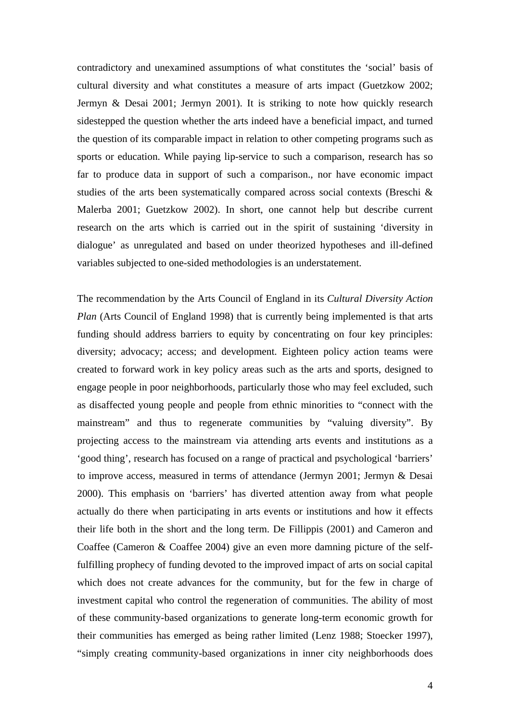contradictory and unexamined assumptions of what constitutes the 'social' basis of cultural diversity and what constitutes a measure of arts impact (Guetzkow 2002; Jermyn & Desai 2001; Jermyn 2001). It is striking to note how quickly research sidestepped the question whether the arts indeed have a beneficial impact, and turned the question of its comparable impact in relation to other competing programs such as sports or education. While paying lip-service to such a comparison, research has so far to produce data in support of such a comparison., nor have economic impact studies of the arts been systematically compared across social contexts (Breschi & Malerba 2001; Guetzkow 2002). In short, one cannot help but describe current research on the arts which is carried out in the spirit of sustaining 'diversity in dialogue' as unregulated and based on under theorized hypotheses and ill-defined variables subjected to one-sided methodologies is an understatement.

The recommendation by the Arts Council of England in its *Cultural Diversity Action Plan* (Arts Council of England 1998) that is currently being implemented is that arts funding should address barriers to equity by concentrating on four key principles: diversity; advocacy; access; and development. Eighteen policy action teams were created to forward work in key policy areas such as the arts and sports, designed to engage people in poor neighborhoods, particularly those who may feel excluded, such as disaffected young people and people from ethnic minorities to "connect with the mainstream" and thus to regenerate communities by "valuing diversity". By projecting access to the mainstream via attending arts events and institutions as a 'good thing', research has focused on a range of practical and psychological 'barriers' to improve access, measured in terms of attendance (Jermyn 2001; Jermyn & Desai 2000). This emphasis on 'barriers' has diverted attention away from what people actually do there when participating in arts events or institutions and how it effects their life both in the short and the long term. De Fillippis (2001) and Cameron and Coaffee (Cameron & Coaffee 2004) give an even more damning picture of the selffulfilling prophecy of funding devoted to the improved impact of arts on social capital which does not create advances for the community, but for the few in charge of investment capital who control the regeneration of communities. The ability of most of these community-based organizations to generate long-term economic growth for their communities has emerged as being rather limited (Lenz 1988; Stoecker 1997), "simply creating community-based organizations in inner city neighborhoods does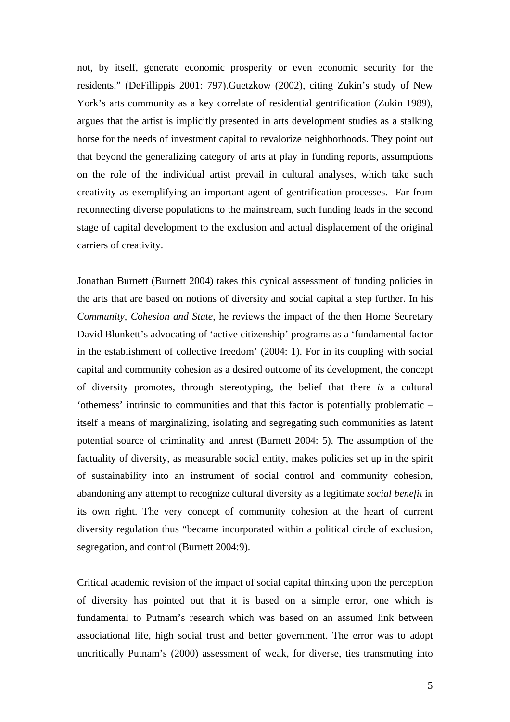not, by itself, generate economic prosperity or even economic security for the residents." (DeFillippis 2001: 797).Guetzkow (2002), citing Zukin's study of New York's arts community as a key correlate of residential gentrification (Zukin 1989), argues that the artist is implicitly presented in arts development studies as a stalking horse for the needs of investment capital to revalorize neighborhoods. They point out that beyond the generalizing category of arts at play in funding reports, assumptions on the role of the individual artist prevail in cultural analyses, which take such creativity as exemplifying an important agent of gentrification processes. Far from reconnecting diverse populations to the mainstream, such funding leads in the second stage of capital development to the exclusion and actual displacement of the original carriers of creativity.

Jonathan Burnett (Burnett 2004) takes this cynical assessment of funding policies in the arts that are based on notions of diversity and social capital a step further. In his *Community, Cohesion and State*, he reviews the impact of the then Home Secretary David Blunkett's advocating of 'active citizenship' programs as a 'fundamental factor in the establishment of collective freedom' (2004: 1). For in its coupling with social capital and community cohesion as a desired outcome of its development, the concept of diversity promotes, through stereotyping, the belief that there *is* a cultural 'otherness' intrinsic to communities and that this factor is potentially problematic – itself a means of marginalizing, isolating and segregating such communities as latent potential source of criminality and unrest (Burnett 2004: 5). The assumption of the factuality of diversity, as measurable social entity, makes policies set up in the spirit of sustainability into an instrument of social control and community cohesion, abandoning any attempt to recognize cultural diversity as a legitimate *social benefit* in its own right. The very concept of community cohesion at the heart of current diversity regulation thus "became incorporated within a political circle of exclusion, segregation, and control (Burnett 2004:9).

Critical academic revision of the impact of social capital thinking upon the perception of diversity has pointed out that it is based on a simple error, one which is fundamental to Putnam's research which was based on an assumed link between associational life, high social trust and better government. The error was to adopt uncritically Putnam's (2000) assessment of weak, for diverse, ties transmuting into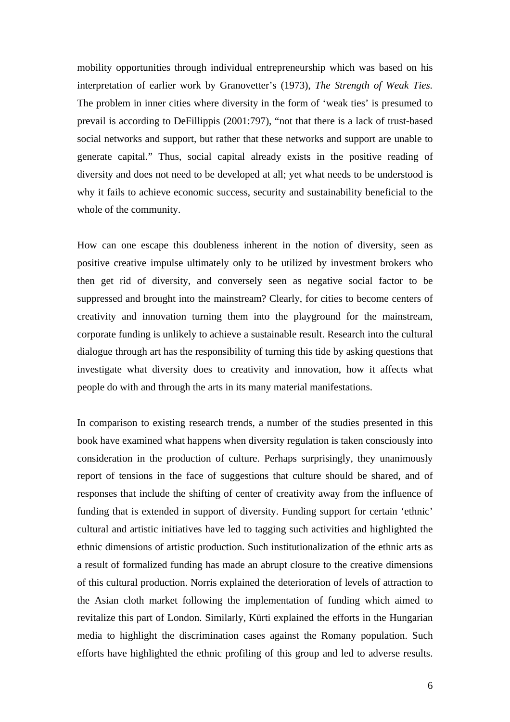mobility opportunities through individual entrepreneurship which was based on his interpretation of earlier work by Granovetter's (1973), *The Strength of Weak Ties.* The problem in inner cities where diversity in the form of 'weak ties' is presumed to prevail is according to DeFillippis (2001:797), "not that there is a lack of trust-based social networks and support, but rather that these networks and support are unable to generate capital." Thus, social capital already exists in the positive reading of diversity and does not need to be developed at all; yet what needs to be understood is why it fails to achieve economic success, security and sustainability beneficial to the whole of the community.

How can one escape this doubleness inherent in the notion of diversity, seen as positive creative impulse ultimately only to be utilized by investment brokers who then get rid of diversity, and conversely seen as negative social factor to be suppressed and brought into the mainstream? Clearly, for cities to become centers of creativity and innovation turning them into the playground for the mainstream, corporate funding is unlikely to achieve a sustainable result. Research into the cultural dialogue through art has the responsibility of turning this tide by asking questions that investigate what diversity does to creativity and innovation, how it affects what people do with and through the arts in its many material manifestations.

In comparison to existing research trends, a number of the studies presented in this book have examined what happens when diversity regulation is taken consciously into consideration in the production of culture. Perhaps surprisingly, they unanimously report of tensions in the face of suggestions that culture should be shared, and of responses that include the shifting of center of creativity away from the influence of funding that is extended in support of diversity. Funding support for certain 'ethnic' cultural and artistic initiatives have led to tagging such activities and highlighted the ethnic dimensions of artistic production. Such institutionalization of the ethnic arts as a result of formalized funding has made an abrupt closure to the creative dimensions of this cultural production. Norris explained the deterioration of levels of attraction to the Asian cloth market following the implementation of funding which aimed to revitalize this part of London. Similarly, Kürti explained the efforts in the Hungarian media to highlight the discrimination cases against the Romany population. Such efforts have highlighted the ethnic profiling of this group and led to adverse results.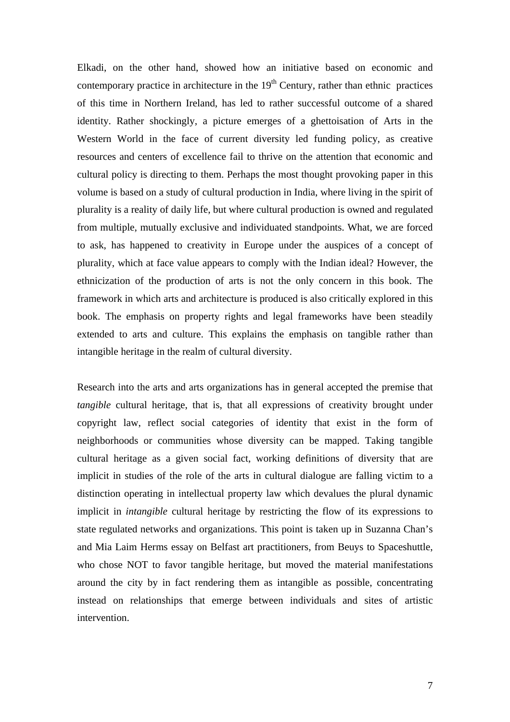Elkadi, on the other hand, showed how an initiative based on economic and contemporary practice in architecture in the  $19<sup>th</sup>$  Century, rather than ethnic practices of this time in Northern Ireland, has led to rather successful outcome of a shared identity. Rather shockingly, a picture emerges of a ghettoisation of Arts in the Western World in the face of current diversity led funding policy, as creative resources and centers of excellence fail to thrive on the attention that economic and cultural policy is directing to them. Perhaps the most thought provoking paper in this volume is based on a study of cultural production in India, where living in the spirit of plurality is a reality of daily life, but where cultural production is owned and regulated from multiple, mutually exclusive and individuated standpoints. What, we are forced to ask, has happened to creativity in Europe under the auspices of a concept of plurality, which at face value appears to comply with the Indian ideal? However, the ethnicization of the production of arts is not the only concern in this book. The framework in which arts and architecture is produced is also critically explored in this book. The emphasis on property rights and legal frameworks have been steadily extended to arts and culture. This explains the emphasis on tangible rather than intangible heritage in the realm of cultural diversity.

Research into the arts and arts organizations has in general accepted the premise that *tangible* cultural heritage, that is, that all expressions of creativity brought under copyright law, reflect social categories of identity that exist in the form of neighborhoods or communities whose diversity can be mapped. Taking tangible cultural heritage as a given social fact, working definitions of diversity that are implicit in studies of the role of the arts in cultural dialogue are falling victim to a distinction operating in intellectual property law which devalues the plural dynamic implicit in *intangible* cultural heritage by restricting the flow of its expressions to state regulated networks and organizations. This point is taken up in Suzanna Chan's and Mia Laim Herms essay on Belfast art practitioners, from Beuys to Spaceshuttle, who chose NOT to favor tangible heritage, but moved the material manifestations around the city by in fact rendering them as intangible as possible, concentrating instead on relationships that emerge between individuals and sites of artistic intervention.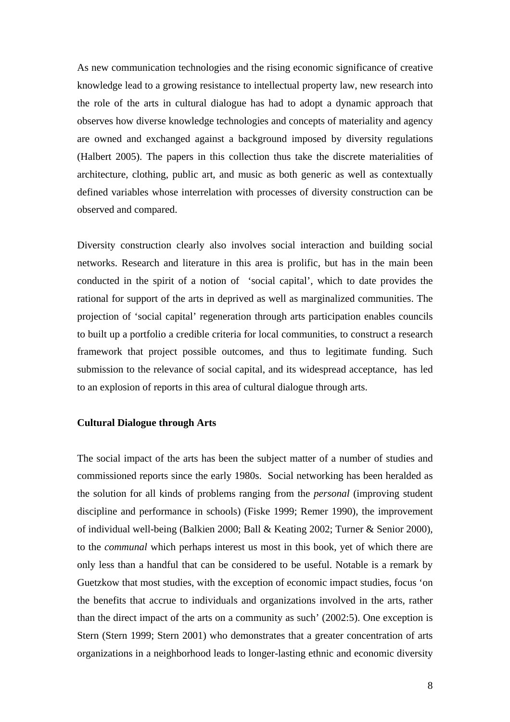As new communication technologies and the rising economic significance of creative knowledge lead to a growing resistance to intellectual property law, new research into the role of the arts in cultural dialogue has had to adopt a dynamic approach that observes how diverse knowledge technologies and concepts of materiality and agency are owned and exchanged against a background imposed by diversity regulations (Halbert 2005). The papers in this collection thus take the discrete materialities of architecture, clothing, public art, and music as both generic as well as contextually defined variables whose interrelation with processes of diversity construction can be observed and compared.

Diversity construction clearly also involves social interaction and building social networks. Research and literature in this area is prolific, but has in the main been conducted in the spirit of a notion of 'social capital', which to date provides the rational for support of the arts in deprived as well as marginalized communities. The projection of 'social capital' regeneration through arts participation enables councils to built up a portfolio a credible criteria for local communities, to construct a research framework that project possible outcomes, and thus to legitimate funding. Such submission to the relevance of social capital, and its widespread acceptance, has led to an explosion of reports in this area of cultural dialogue through arts.

#### **Cultural Dialogue through Arts**

The social impact of the arts has been the subject matter of a number of studies and commissioned reports since the early 1980s. Social networking has been heralded as the solution for all kinds of problems ranging from the *personal* (improving student discipline and performance in schools) (Fiske 1999; Remer 1990), the improvement of individual well-being (Balkien 2000; Ball & Keating 2002; Turner & Senior 2000), to the *communal* which perhaps interest us most in this book, yet of which there are only less than a handful that can be considered to be useful. Notable is a remark by Guetzkow that most studies, with the exception of economic impact studies, focus 'on the benefits that accrue to individuals and organizations involved in the arts, rather than the direct impact of the arts on a community as such' (2002:5). One exception is Stern (Stern 1999; Stern 2001) who demonstrates that a greater concentration of arts organizations in a neighborhood leads to longer-lasting ethnic and economic diversity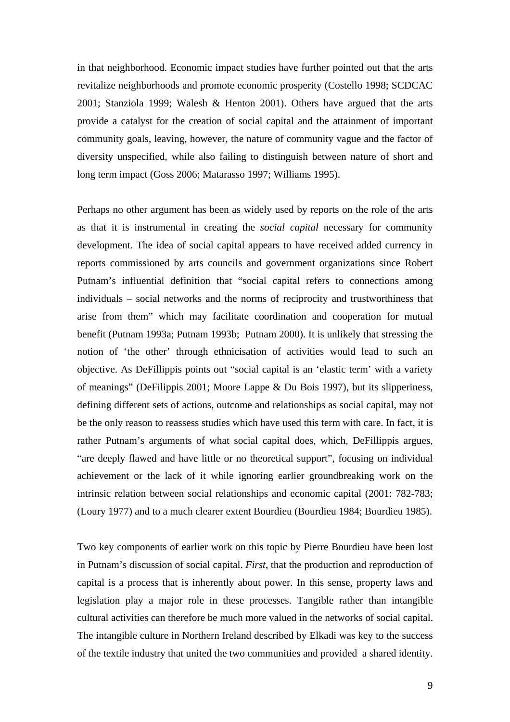in that neighborhood. Economic impact studies have further pointed out that the arts revitalize neighborhoods and promote economic prosperity (Costello 1998; SCDCAC 2001; Stanziola 1999; Walesh & Henton 2001). Others have argued that the arts provide a catalyst for the creation of social capital and the attainment of important community goals, leaving, however, the nature of community vague and the factor of diversity unspecified, while also failing to distinguish between nature of short and long term impact (Goss 2006; Matarasso 1997; Williams 1995).

Perhaps no other argument has been as widely used by reports on the role of the arts as that it is instrumental in creating the *social capital* necessary for community development. The idea of social capital appears to have received added currency in reports commissioned by arts councils and government organizations since Robert Putnam's influential definition that "social capital refers to connections among individuals – social networks and the norms of reciprocity and trustworthiness that arise from them" which may facilitate coordination and cooperation for mutual benefit (Putnam 1993a; Putnam 1993b; Putnam 2000). It is unlikely that stressing the notion of 'the other' through ethnicisation of activities would lead to such an objective. As DeFillippis points out "social capital is an 'elastic term' with a variety of meanings" (DeFilippis 2001; Moore Lappe & Du Bois 1997), but its slipperiness, defining different sets of actions, outcome and relationships as social capital, may not be the only reason to reassess studies which have used this term with care. In fact, it is rather Putnam's arguments of what social capital does, which, DeFillippis argues, "are deeply flawed and have little or no theoretical support", focusing on individual achievement or the lack of it while ignoring earlier groundbreaking work on the intrinsic relation between social relationships and economic capital (2001: 782-783; (Loury 1977) and to a much clearer extent Bourdieu (Bourdieu 1984; Bourdieu 1985).

Two key components of earlier work on this topic by Pierre Bourdieu have been lost in Putnam's discussion of social capital. *First*, that the production and reproduction of capital is a process that is inherently about power. In this sense, property laws and legislation play a major role in these processes. Tangible rather than intangible cultural activities can therefore be much more valued in the networks of social capital. The intangible culture in Northern Ireland described by Elkadi was key to the success of the textile industry that united the two communities and provided a shared identity.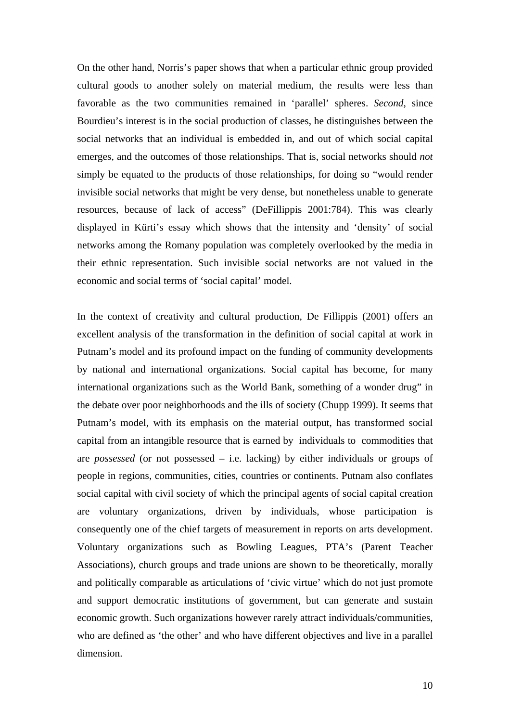On the other hand, Norris's paper shows that when a particular ethnic group provided cultural goods to another solely on material medium, the results were less than favorable as the two communities remained in 'parallel' spheres. *Second*, since Bourdieu's interest is in the social production of classes, he distinguishes between the social networks that an individual is embedded in, and out of which social capital emerges, and the outcomes of those relationships. That is, social networks should *not*  simply be equated to the products of those relationships, for doing so "would render invisible social networks that might be very dense, but nonetheless unable to generate resources, because of lack of access" (DeFillippis 2001:784). This was clearly displayed in Kürti's essay which shows that the intensity and 'density' of social networks among the Romany population was completely overlooked by the media in their ethnic representation. Such invisible social networks are not valued in the economic and social terms of 'social capital' model.

In the context of creativity and cultural production, De Fillippis (2001) offers an excellent analysis of the transformation in the definition of social capital at work in Putnam's model and its profound impact on the funding of community developments by national and international organizations. Social capital has become, for many international organizations such as the World Bank, something of a wonder drug" in the debate over poor neighborhoods and the ills of society (Chupp 1999). It seems that Putnam's model, with its emphasis on the material output, has transformed social capital from an intangible resource that is earned by individuals to commodities that are *possessed* (or not possessed – i.e. lacking) by either individuals or groups of people in regions, communities, cities, countries or continents. Putnam also conflates social capital with civil society of which the principal agents of social capital creation are voluntary organizations, driven by individuals, whose participation is consequently one of the chief targets of measurement in reports on arts development. Voluntary organizations such as Bowling Leagues, PTA's (Parent Teacher Associations), church groups and trade unions are shown to be theoretically, morally and politically comparable as articulations of 'civic virtue' which do not just promote and support democratic institutions of government, but can generate and sustain economic growth. Such organizations however rarely attract individuals/communities, who are defined as 'the other' and who have different objectives and live in a parallel dimension.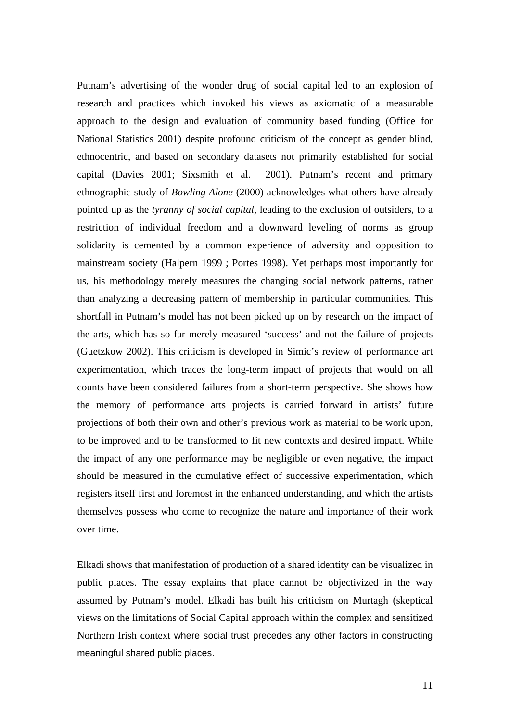Putnam's advertising of the wonder drug of social capital led to an explosion of research and practices which invoked his views as axiomatic of a measurable approach to the design and evaluation of community based funding (Office for National Statistics 2001) despite profound criticism of the concept as gender blind, ethnocentric, and based on secondary datasets not primarily established for social capital (Davies 2001; Sixsmith et al. 2001). Putnam's recent and primary ethnographic study of *Bowling Alone* (2000) acknowledges what others have already pointed up as the *tyranny of social capital*, leading to the exclusion of outsiders, to a restriction of individual freedom and a downward leveling of norms as group solidarity is cemented by a common experience of adversity and opposition to mainstream society (Halpern 1999 ; Portes 1998). Yet perhaps most importantly for us, his methodology merely measures the changing social network patterns, rather than analyzing a decreasing pattern of membership in particular communities. This shortfall in Putnam's model has not been picked up on by research on the impact of the arts, which has so far merely measured 'success' and not the failure of projects (Guetzkow 2002). This criticism is developed in Simic's review of performance art experimentation, which traces the long-term impact of projects that would on all counts have been considered failures from a short-term perspective. She shows how the memory of performance arts projects is carried forward in artists' future projections of both their own and other's previous work as material to be work upon, to be improved and to be transformed to fit new contexts and desired impact. While the impact of any one performance may be negligible or even negative, the impact should be measured in the cumulative effect of successive experimentation, which registers itself first and foremost in the enhanced understanding, and which the artists themselves possess who come to recognize the nature and importance of their work over time.

Elkadi shows that manifestation of production of a shared identity can be visualized in public places. The essay explains that place cannot be objectivized in the way assumed by Putnam's model. Elkadi has built his criticism on Murtagh (skeptical views on the limitations of Social Capital approach within the complex and sensitized Northern Irish context where social trust precedes any other factors in constructing meaningful shared public places.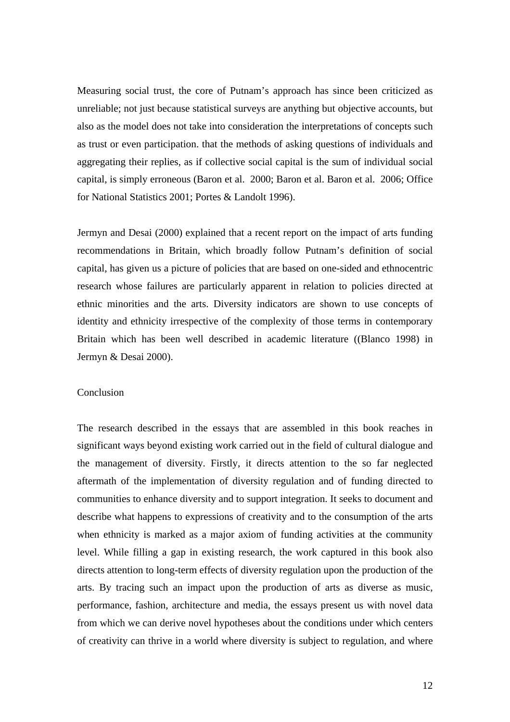Measuring social trust, the core of Putnam's approach has since been criticized as unreliable; not just because statistical surveys are anything but objective accounts, but also as the model does not take into consideration the interpretations of concepts such as trust or even participation. that the methods of asking questions of individuals and aggregating their replies, as if collective social capital is the sum of individual social capital, is simply erroneous (Baron et al. 2000; Baron et al. Baron et al. 2006; Office for National Statistics 2001; Portes & Landolt 1996).

Jermyn and Desai (2000) explained that a recent report on the impact of arts funding recommendations in Britain, which broadly follow Putnam's definition of social capital, has given us a picture of policies that are based on one-sided and ethnocentric research whose failures are particularly apparent in relation to policies directed at ethnic minorities and the arts. Diversity indicators are shown to use concepts of identity and ethnicity irrespective of the complexity of those terms in contemporary Britain which has been well described in academic literature ((Blanco 1998) in Jermyn & Desai 2000).

#### Conclusion

The research described in the essays that are assembled in this book reaches in significant ways beyond existing work carried out in the field of cultural dialogue and the management of diversity. Firstly, it directs attention to the so far neglected aftermath of the implementation of diversity regulation and of funding directed to communities to enhance diversity and to support integration. It seeks to document and describe what happens to expressions of creativity and to the consumption of the arts when ethnicity is marked as a major axiom of funding activities at the community level. While filling a gap in existing research, the work captured in this book also directs attention to long-term effects of diversity regulation upon the production of the arts. By tracing such an impact upon the production of arts as diverse as music, performance, fashion, architecture and media, the essays present us with novel data from which we can derive novel hypotheses about the conditions under which centers of creativity can thrive in a world where diversity is subject to regulation, and where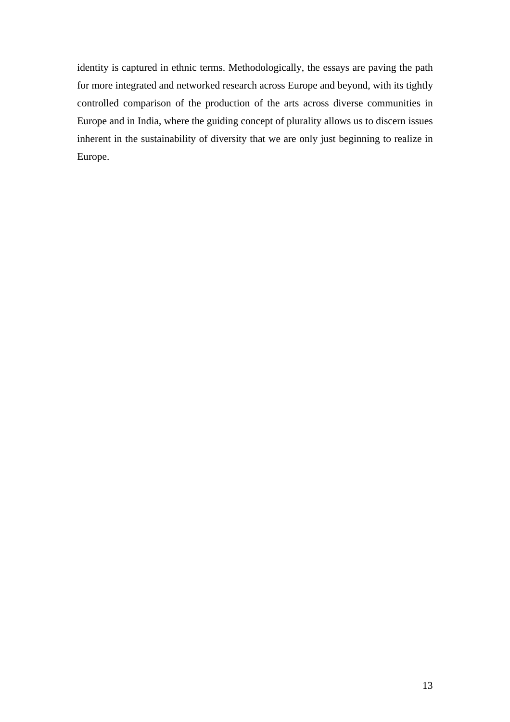identity is captured in ethnic terms. Methodologically, the essays are paving the path for more integrated and networked research across Europe and beyond, with its tightly controlled comparison of the production of the arts across diverse communities in Europe and in India, where the guiding concept of plurality allows us to discern issues inherent in the sustainability of diversity that we are only just beginning to realize in Europe.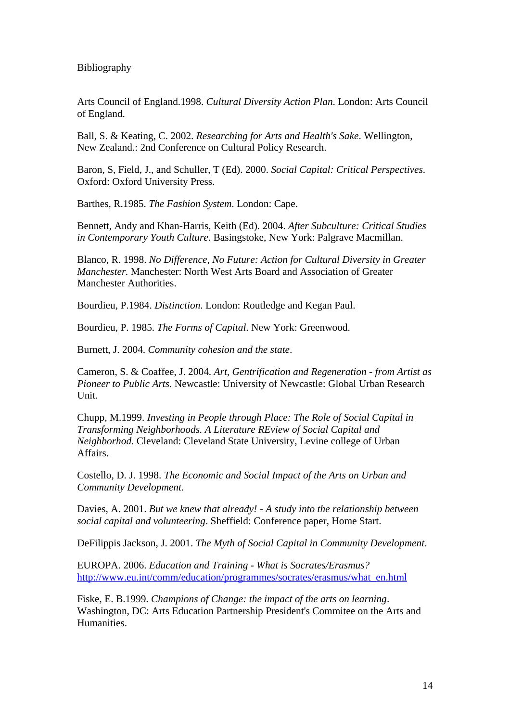Bibliography

Arts Council of England.1998. *Cultural Diversity Action Plan*. London: Arts Council of England.

Ball, S. & Keating, C. 2002. *Researching for Arts and Health's Sake*. Wellington, New Zealand.: 2nd Conference on Cultural Policy Research.

Baron, S, Field, J., and Schuller, T (Ed). 2000. *Social Capital: Critical Perspectives*. Oxford: Oxford University Press.

Barthes, R.1985. *The Fashion System*. London: Cape.

Bennett, Andy and Khan-Harris, Keith (Ed). 2004. *After Subculture: Critical Studies in Contemporary Youth Culture*. Basingstoke, New York: Palgrave Macmillan.

Blanco, R. 1998. *No Difference, No Future: Action for Cultural Diversity in Greater Manchester.* Manchester: North West Arts Board and Association of Greater Manchester Authorities.

Bourdieu, P.1984. *Distinction*. London: Routledge and Kegan Paul.

Bourdieu, P. 1985. *The Forms of Capital*. New York: Greenwood.

Burnett, J. 2004. *Community cohesion and the state*.

Cameron, S. & Coaffee, J. 2004. *Art, Gentrification and Regeneration - from Artist as Pioneer to Public Arts.* Newcastle: University of Newcastle: Global Urban Research Unit.

Chupp, M.1999. *Investing in People through Place: The Role of Social Capital in Transforming Neighborhoods. A Literature REview of Social Capital and Neighborhod*. Cleveland: Cleveland State University, Levine college of Urban Affairs.

Costello, D. J. 1998. *The Economic and Social Impact of the Arts on Urban and Community Development*.

Davies, A. 2001. *But we knew that already! - A study into the relationship between social capital and volunteering*. Sheffield: Conference paper, Home Start.

DeFilippis Jackson, J. 2001. *The Myth of Social Capital in Community Development*.

EUROPA. 2006. *Education and Training - What is Socrates/Erasmus?* http://www.eu.int/comm/education/programmes/socrates/erasmus/what\_en.html

Fiske, E. B.1999. *Champions of Change: the impact of the arts on learning*. Washington, DC: Arts Education Partnership President's Commitee on the Arts and Humanities.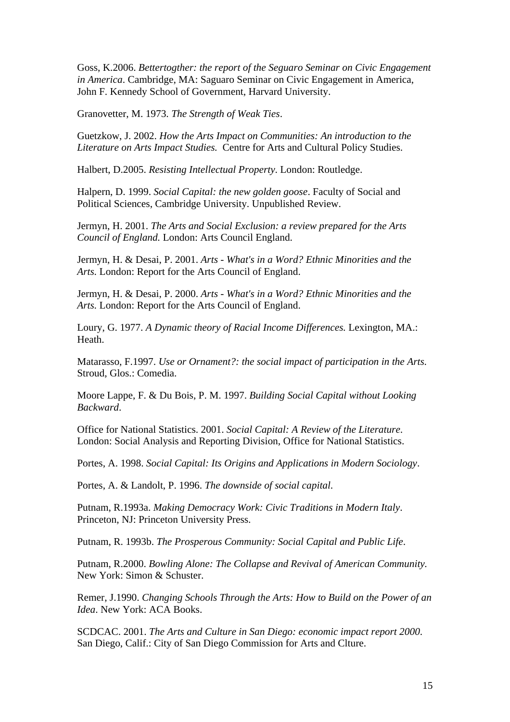Goss, K.2006. *Bettertogther: the report of the Seguaro Seminar on Civic Engagement in America*. Cambridge, MA: Saguaro Seminar on Civic Engagement in America, John F. Kennedy School of Government, Harvard University.

Granovetter, M. 1973. *The Strength of Weak Ties*.

Guetzkow, J. 2002. *How the Arts Impact on Communities: An introduction to the Literature on Arts Impact Studies.* Centre for Arts and Cultural Policy Studies.

Halbert, D.2005. *Resisting Intellectual Property*. London: Routledge.

Halpern, D. 1999. *Social Capital: the new golden goose*. Faculty of Social and Political Sciences, Cambridge University. Unpublished Review.

Jermyn, H. 2001. *The Arts and Social Exclusion: a review prepared for the Arts Council of England.* London: Arts Council England.

Jermyn, H. & Desai, P. 2001. *Arts - What's in a Word? Ethnic Minorities and the Arts.* London: Report for the Arts Council of England.

Jermyn, H. & Desai, P. 2000. *Arts - What's in a Word? Ethnic Minorities and the Arts.* London: Report for the Arts Council of England.

Loury, G. 1977. *A Dynamic theory of Racial Income Differences.* Lexington, MA.: Heath.

Matarasso, F.1997. *Use or Ornament?: the social impact of participation in the Arts*. Stroud, Glos.: Comedia.

Moore Lappe, F. & Du Bois, P. M. 1997. *Building Social Capital without Looking Backward*.

Office for National Statistics. 2001. *Social Capital: A Review of the Literature*. London: Social Analysis and Reporting Division, Office for National Statistics.

Portes, A. 1998. *Social Capital: Its Origins and Applications in Modern Sociology*.

Portes, A. & Landolt, P. 1996. *The downside of social capital*.

Putnam, R.1993a. *Making Democracy Work: Civic Traditions in Modern Italy*. Princeton, NJ: Princeton University Press.

Putnam, R. 1993b. *The Prosperous Community: Social Capital and Public Life*.

Putnam, R.2000. *Bowling Alone: The Collapse and Revival of American Community.* New York: Simon & Schuster.

Remer, J.1990. *Changing Schools Through the Arts: How to Build on the Power of an Idea*. New York: ACA Books.

SCDCAC. 2001. *The Arts and Culture in San Diego: economic impact report 2000*. San Diego, Calif.: City of San Diego Commission for Arts and Clture.